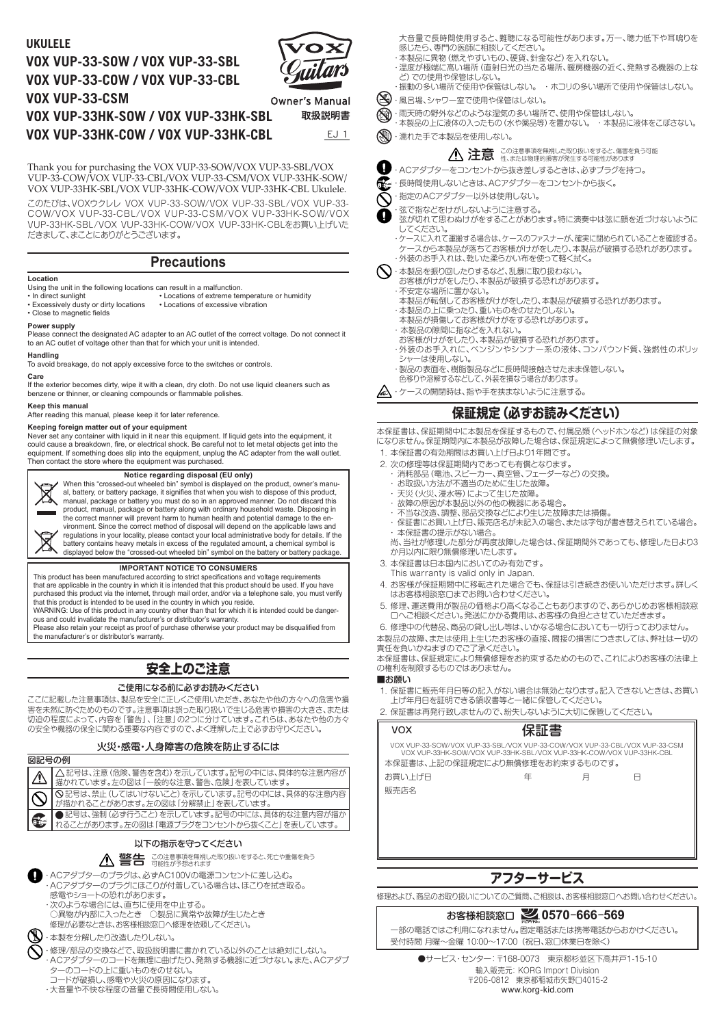# **VOX VUP-33-SOW / VOX VUP-33-SBL VOX VUP-33-COW / VOX VUP-33-CBL VOX VUP-33-CSM**



| VOX VUP-33-CSM                      | Owner's Manual |
|-------------------------------------|----------------|
| VOX VUP-33HK-SOW / VOX VUP-33HK-SBL | 取扱説明書          |
| VOX VUP-33HK-COW / VOX VUP-33HK-CBL | EJ 1           |

Thank you for purchasing the VOX VUP-33-SOW/VOX VUP-33-SBL/VOX VUP-33-COW/VOX VUP-33-CBL/VOX VUP-33-CSM/VOX VUP-33HK-SOW/ VOX VUP-33HK-SBL/VOX VUP-33HK-COW/VOX VUP-33HK-CBL Ukulele.

このたびは、VOXウクレレ VOX VUP-33-SOW/VOX VUP-33-SBL/VOX VUP-33- COW/VOX VUP-33-CBL/VOX VUP-33-CSM/VOX VUP-33HK-SOW/VOX VUP-33HK-SBL/VOX VUP-33HK-COW/VOX VUP-33HK-CBLをお買い上げいた だきまして、まことにありがとうございます。

### **Precautions**

#### **Location**

Using the unit in the following locations can result in a malfunction.

- Locations of extreme temperature or humidity<br>• Locations of excessive vibration • In direct sunlight<br>• Excessively dusty or dirty locations
- Close to magnetic fields

#### **Power supply**

Please connect the designated AC adapter to an AC outlet of the correct voltage. Do not connect it to an AC outlet of voltage other than that for which your unit is intended.

### **Handling**

To avoid breakage, do not apply excessive force to the switches or controls.

#### **Care**

If the exterior becomes dirty, wipe it with a clean, dry cloth. Do not use liquid cleaners such as benzene or thinner, or cleaning compounds or flammable polishes.

#### **Keep this manual**

After reading this manual, please keep it for later reference.

#### **Keeping foreign matter out of your equipment**

Never set any container with liquid in it near this equipment. If liquid gets into the equipment, it could cause a breakdown, fire, or electrical shock. Be careful not to let metal objects get into the equipment. If something does slip into the equipment, unplug the AC adapter from the wall outlet. Then contact the store where the equipment was purchased.

### **Notice regarding disposal (EU only)**



When this "crossed-out wheeled bin" symbol is displayed on the product, owner's manu-al, battery, or battery package, it signifies that when you wish to dispose of this product, manual, package or battery you must do so in an approved manner. Do not discard this product, manual, package or battery along with ordinary household waste. Disposing in

the correct manner will prevent harm to human health and potential damage to the en-vironment. Since the correct method of disposal will depend on the applicable laws and regulations in your locality, please contact your local administrative body for details. If the battery contains heavy metals in excess of the regulated amount, a chemical symbol is

displayed below the "crossed-out wheeled bin" symbol on the battery or battery package.

### **IMPORTANT NOTICE TO CONSUMERS**

This product has been manufactured according to strict specifications and voltage requirements that are applicable in the country in which it is intended that this product should be used. If you have purchased this product via the internet, through mail order, and/or via a telephone sale, you must verify that this product is intended to be used in the country in which you reside.

WARNING: Use of this product in any country other than that for which it is intended could be danger-ous and could invalidate the manufacturer's or distributor's warranty.

Please also retain your receipt as proof of purchase otherwise your product may be disqualified from the manufacturer's or distributor's warranty.

# **安全上のご注意**

### ご使用になる前に必ずお読みください

ここに記載した注意事項は、製品を安全に正しくご使用いただき、あなたや他の方々への危害や損 害を未然に防ぐためのものです。注意事項は誤った取り扱いで生じる危害や損害の大きさ、または 切迫の程度によって、内容を「警告」、「注意」の2つに分けています。これらは、あなたや他の方々 の安全や機器の保全に関わる重要な内容ですので、よく理解した上で必ずお守りください。

### 火災・感電・人身障害の危険を防止するには



**UKULELE** また、また、このようなことには、このようなことに関していること、難聴になる可能性があります。万一、聴力低下や耳鳴りを <sub>ハロニー</sub><br>感じたら、専門の医師に相談してください。

- ・本製品に異物(燃えやすいもの、硬貨、針金など)を入れない。
- ・温度が極端に高い場所(直射日光の当たる場所、暖房機器の近く、発熱する機器の上な ど)での使用や保管はしない。 ・振動の多い場所で使用や保管はしない。 ・ ホコリの多い場所で使用や保管はしない。
- - ・風呂場、シャワー室で使用や保管はしない。
	- ・雨天時の野外などのような湿気の多い場所で、使用や保管はしない。
		- ・本製品の上に液体の入ったもの(水や薬品等)を置かない。 ・ 本製品に液体をこぼさない。
	- (※)·濡れた手で本製品を使用しない。

■ 注意 この注意事項を無視した取り扱いをすると、傷害を負う可能

- ・ACアダプターをコンセントから抜き差しするときは、必ずプラグを持つ。
- **「そ」**·長時間使用しないときは、ACアダプターをコンセントから抜く。
- <br />
者定のACアダプター以外は使用しない。
- 
- ・弦で指などをけがしないように注意する。<br>● 球が切れて思わぬけがをすることがあり; 弦が切れて思わぬけがをすることがあります。特に演奏中は弦に顔を近づけないように してください。
	- ・ケースに入れて運搬する場合は、ケースのファスナーが、確実に閉められていることを確認する。 ケースから本製品が落ちてお客様がけがをしたり、本製品が破損する恐れがあります。 ・外装のお手入れは、乾いた柔らかい布を使って軽く拭く。
- $\bigotimes$ ・本製品を振り回したりするなど、乱暴に取り扱わない。
	- <sub>でないこの</sub>。<br>お客様がけがをしたり、本製品が破損する恐れがあります。
	- ・不安定な場所に置かない。
		- 本製品が転倒してお客様がけがをしたり、本製品が破損する恐れがあります。
	- ・本製品の上に乗ったり、重いものをのせたりしない。
	- 本製品が損傷してお客様がけがをする恐れがあります。
	- ・ 本製品の隙間に指などを入れない。
	- お客様がけがをしたり、本製品が破損する恐れがあります。
	- ・外装のお手入れに、ベンジンやシンナー系の液体、コンパウンド質、強燃性のポリッ シャーは使用しない。
	- ・製品の表面を、樹脂製品などに長時間接触させたまま保管しない。 色移りや溶解するなどして、外装を損なう場合があります。
- ・ケースの開閉時は、指や手を挟まないように注意する。

### **保証規定(必ずお読みください)**

本保証書は、保証期間中に本製品を保証するもので、付属品類(ヘッドホンなど)は保証の対象 になりません。保証期間内に本製品が故障した場合は、保証規定によって無償修理いたします。 1. 本保証書の有効期間はお買い上げ日より1年間です。

- 
- 2. 次の修理等は保証期間内であっても有償となります。<br>・消耗部品 (雷池、スピーカー、真空管、フェーダーなど) の交換。 ・ 消耗部品(電池、スピーカー、真空管、フェーダーなど)の交換。
	- ・ お取扱い方法が不適当のために生じた故障。
	- ・ 天災(火災、浸水等)によって生じた故障。
	- ・ 故障の原因が本製品以外の他の機器にある場合。
	- ・ 不当な改造、調整、部品交換などにより生じた故障または損傷。
	- ・ 保証書にお買い上げ日、販売店名が未記入の場合、または字句が書き替えられている場合。 ・ 本保証書の提示がない場合。

尚、当社が修理した部分が再度故障した場合は、保証期間外であっても、修理した日より3 か月以内に限り無償修理いたします。

- 3. 本保証書は日本国内においてのみ有効です。
- This warranty is valid only in Japan.
- 4. お客様が保証期間中に移転された場合でも、保証は引き続きお使いいただけます。詳しく はお客様相談窓口までお問い合わせください。
- 5. 修理、運送費用が製品の価格より高くなることもありますので、あらかじめお客様相談窓 口へご相談ください。発送にかかる費用は、お客様の負担とさせていただきます。
- 6. 修理中の代替品、商品の貸し出し等は、いかなる場合においても一切行っておりません。
- 本製品の故障、または使用上生じたお客様の直接、間接の損害につきましては、弊社は一切の 責任を負いかねますのでご了承ください。

本保証書は、保証規定により無償修理をお約束するためのもので、これによりお客様の法律上 の権利を制限するものではありません。

#### ■お願い

- 1. 保証書に販売年月日等の記入がない場合は無効となります。記入できないときは、お買い 上げ年月日を証明できる領収書等と一緒に保管してください。
- 2. 保証書は再発行致しませんので、紛失しないように大切に保管してください。

| <b>VOX</b>                                                                                                                                        | 保証書 |   |   |  |  |
|---------------------------------------------------------------------------------------------------------------------------------------------------|-----|---|---|--|--|
| VOX VUP-33-SOW/VOX VUP-33-SBL/VOX VUP-33-COW/VOX VUP-33-CBL/VOX VUP-33-CSM<br>VOX VUP-33HK-SOW/VOX VUP-33HK-SBL/VOX VUP-33HK-COW/VOX VUP-33HK-CBL |     |   |   |  |  |
| 本保証書は、上記の保証規定により無償修理をお約束するものです。                                                                                                                   |     |   |   |  |  |
| お買い上げ日                                                                                                                                            | 年   | 月 | H |  |  |
| 販売店名                                                                                                                                              |     |   |   |  |  |
|                                                                                                                                                   |     |   |   |  |  |
|                                                                                                                                                   |     |   |   |  |  |
|                                                                                                                                                   |     |   |   |  |  |
|                                                                                                                                                   |     |   |   |  |  |
|                                                                                                                                                   |     |   |   |  |  |
| アフターサービス                                                                                                                                          |     |   |   |  |  |

修理および、商品のお取り扱いについてのご質問、ご相談は、お客様相談窓口へお問い合わせください。

# お客様相談窓口 **0570- 666- 569**

一部の電話ではご利用になれません。固定電話または携帯電話からおかけください。 受付時間 月曜~金曜 10:00~17:00 (祝日、窓口休業日を除く)

●サービス・センター: 〒168-0073 東京都杉並区下高井戸1-15-10 輸入販売元: KORG Import Division 〒206-0812 東京都稲城市矢野口4015-2 www.korg-kid.com

.<br>コードが破損し、感雷や火災の原因になります。 ・大音量や不快な程度の音量で長時間使用しない。